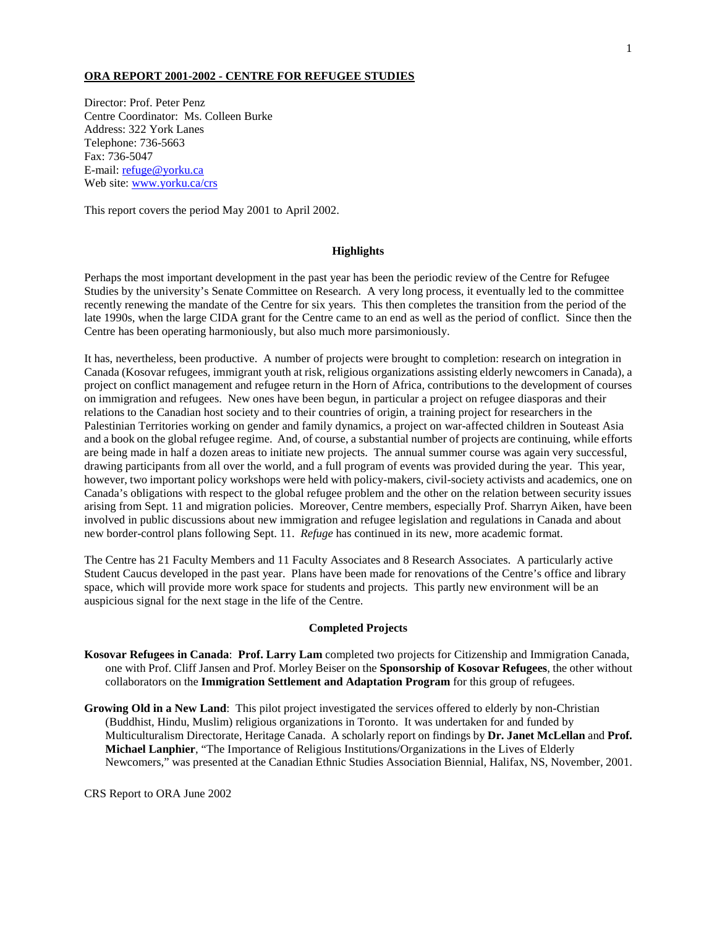## **ORA REPORT 2001-2002 - CENTRE FOR REFUGEE STUDIES**

Director: Prof. Peter Penz Centre Coordinator: Ms. Colleen Burke Address: 322 York Lanes Telephone: 736-5663 Fax: 736-5047 E-mail: refuge@yorku.ca Web site: www.yorku.ca/crs

This report covers the period May 2001 to April 2002.

# **Highlights**

Perhaps the most important development in the past year has been the periodic review of the Centre for Refugee Studies by the university's Senate Committee on Research. A very long process, it eventually led to the committee recently renewing the mandate of the Centre for six years. This then completes the transition from the period of the late 1990s, when the large CIDA grant for the Centre came to an end as well as the period of conflict. Since then the Centre has been operating harmoniously, but also much more parsimoniously.

It has, nevertheless, been productive. A number of projects were brought to completion: research on integration in Canada (Kosovar refugees, immigrant youth at risk, religious organizations assisting elderly newcomers in Canada), a project on conflict management and refugee return in the Horn of Africa, contributions to the development of courses on immigration and refugees. New ones have been begun, in particular a project on refugee diasporas and their relations to the Canadian host society and to their countries of origin, a training project for researchers in the Palestinian Territories working on gender and family dynamics, a project on war-affected children in Souteast Asia and a book on the global refugee regime. And, of course, a substantial number of projects are continuing, while efforts are being made in half a dozen areas to initiate new projects. The annual summer course was again very successful, drawing participants from all over the world, and a full program of events was provided during the year. This year, however, two important policy workshops were held with policy-makers, civil-society activists and academics, one on Canada's obligations with respect to the global refugee problem and the other on the relation between security issues arising from Sept. 11 and migration policies. Moreover, Centre members, especially Prof. Sharryn Aiken, have been involved in public discussions about new immigration and refugee legislation and regulations in Canada and about new border-control plans following Sept. 11. *Refuge* has continued in its new, more academic format.

The Centre has 21 Faculty Members and 11 Faculty Associates and 8 Research Associates. A particularly active Student Caucus developed in the past year. Plans have been made for renovations of the Centre's office and library space, which will provide more work space for students and projects. This partly new environment will be an auspicious signal for the next stage in the life of the Centre.

#### **Completed Projects**

- **Kosovar Refugees in Canada**: **Prof. Larry Lam** completed two projects for Citizenship and Immigration Canada, one with Prof. Cliff Jansen and Prof. Morley Beiser on the **Sponsorship of Kosovar Refugees**, the other without collaborators on the **Immigration Settlement and Adaptation Program** for this group of refugees.
- **Growing Old in a New Land**: This pilot project investigated the services offered to elderly by non-Christian (Buddhist, Hindu, Muslim) religious organizations in Toronto. It was undertaken for and funded by Multiculturalism Directorate, Heritage Canada. A scholarly report on findings by **Dr. Janet McLellan** and **Prof. Michael Lanphier**, "The Importance of Religious Institutions/Organizations in the Lives of Elderly Newcomers," was presented at the Canadian Ethnic Studies Association Biennial, Halifax, NS, November, 2001.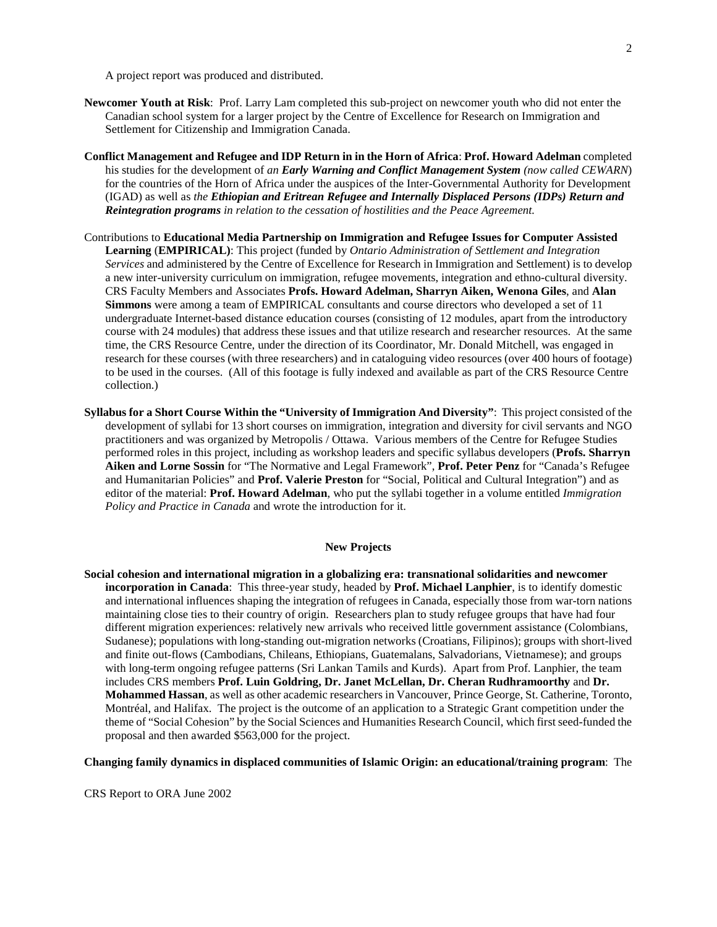A project report was produced and distributed.

- **Newcomer Youth at Risk**: Prof. Larry Lam completed this sub-project on newcomer youth who did not enter the Canadian school system for a larger project by the Centre of Excellence for Research on Immigration and Settlement for Citizenship and Immigration Canada.
- **Conflict Management and Refugee and IDP Return in in the Horn of Africa**: **Prof. Howard Adelman** completed his studies for the development of *an Early Warning and Conflict Management System (now called CEWARN*) for the countries of the Horn of Africa under the auspices of the Inter-Governmental Authority for Development (IGAD) as well as *the Ethiopian and Eritrean Refugee and Internally Displaced Persons (IDPs) Return and Reintegration programs in relation to the cessation of hostilities and the Peace Agreement.*
- Contributions to **Educational Media Partnership on Immigration and Refugee Issues for Computer Assisted Learning** (**EMPIRICAL)**: This project (funded by *Ontario Administration of Settlement and Integration Services* and administered by the Centre of Excellence for Research in Immigration and Settlement) is to develop a new inter-university curriculum on immigration, refugee movements, integration and ethno-cultural diversity. CRS Faculty Members and Associates **Profs. Howard Adelman, Sharryn Aiken, Wenona Giles**, and **Alan Simmons** were among a team of EMPIRICAL consultants and course directors who developed a set of 11 undergraduate Internet-based distance education courses (consisting of 12 modules, apart from the introductory course with 24 modules) that address these issues and that utilize research and researcher resources. At the same time, the CRS Resource Centre, under the direction of its Coordinator, Mr. Donald Mitchell, was engaged in research for these courses (with three researchers) and in cataloguing video resources (over 400 hours of footage) to be used in the courses. (All of this footage is fully indexed and available as part of the CRS Resource Centre collection.)
- **Syllabus for a Short Course Within the "University of Immigration And Diversity"**: This project consisted of the development of syllabi for 13 short courses on immigration, integration and diversity for civil servants and NGO practitioners and was organized by Metropolis / Ottawa. Various members of the Centre for Refugee Studies performed roles in this project, including as workshop leaders and specific syllabus developers (**Profs. Sharryn Aiken and Lorne Sossin** for "The Normative and Legal Framework", **Prof. Peter Penz** for "Canada's Refugee and Humanitarian Policies" and **Prof. Valerie Preston** for "Social, Political and Cultural Integration") and as editor of the material: **Prof. Howard Adelman**, who put the syllabi together in a volume entitled *Immigration Policy and Practice in Canada* and wrote the introduction for it.

# **New Projects**

**Social cohesion and international migration in a globalizing era: transnational solidarities and newcomer incorporation in Canada**: This three-year study, headed by **Prof. Michael Lanphier**, is to identify domestic and international influences shaping the integration of refugees in Canada, especially those from war-torn nations maintaining close ties to their country of origin. Researchers plan to study refugee groups that have had four different migration experiences: relatively new arrivals who received little government assistance (Colombians, Sudanese); populations with long-standing out-migration networks (Croatians, Filipinos); groups with short-lived and finite out-flows (Cambodians, Chileans, Ethiopians, Guatemalans, Salvadorians, Vietnamese); and groups with long-term ongoing refugee patterns (Sri Lankan Tamils and Kurds). Apart from Prof. Lanphier, the team includes CRS members **Prof. Luin Goldring, Dr. Janet McLellan, Dr. Cheran Rudhramoorthy** and **Dr. Mohammed Hassan**, as well as other academic researchers in Vancouver, Prince George, St. Catherine, Toronto, Montréal, and Halifax. The project is the outcome of an application to a Strategic Grant competition under the theme of "Social Cohesion" by the Social Sciences and Humanities Research Council, which first seed-funded the proposal and then awarded \$563,000 for the project.

**Changing family dynamics in displaced communities of Islamic Origin: an educational/training program**: The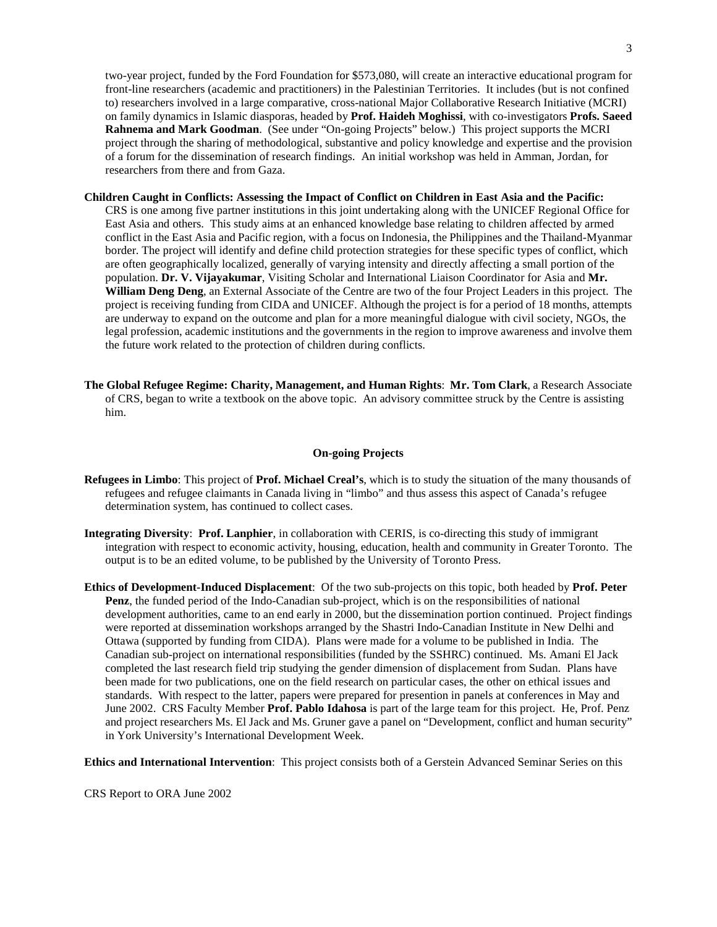two-year project, funded by the Ford Foundation for \$573,080, will create an interactive educational program for front-line researchers (academic and practitioners) in the Palestinian Territories. It includes (but is not confined to) researchers involved in a large comparative, cross-national Major Collaborative Research Initiative (MCRI) on family dynamics in Islamic diasporas, headed by **Prof. Haideh Moghissi**, with co-investigators **Profs. Saeed Rahnema and Mark Goodman**. (See under "On-going Projects" below.) This project supports the MCRI project through the sharing of methodological, substantive and policy knowledge and expertise and the provision of a forum for the dissemination of research findings. An initial workshop was held in Amman, Jordan, for researchers from there and from Gaza.

#### **Children Caught in Conflicts: Assessing the Impact of Conflict on Children in East Asia and the Pacific:**

CRS is one among five partner institutions in this joint undertaking along with the UNICEF Regional Office for East Asia and others.This study aims at an enhanced knowledge base relating to children affected by armed conflict in the East Asia and Pacific region, with a focus on Indonesia, the Philippines and the Thailand-Myanmar border. The project will identify and define child protection strategies for these specific types of conflict, which are often geographically localized, generally of varying intensity and directly affecting a small portion of the population. **Dr. V. Vijayakumar**, Visiting Scholar and International Liaison Coordinator for Asia and **Mr. William Deng Deng**, an External Associate of the Centre are two of the four Project Leaders in this project. The project is receiving funding from CIDA and UNICEF. Although the project is for a period of 18 months, attempts are underway to expand on the outcome and plan for a more meaningful dialogue with civil society, NGOs, the legal profession, academic institutions and the governments in the region to improve awareness and involve them the future work related to the protection of children during conflicts.

**The Global Refugee Regime: Charity, Management, and Human Rights**: **Mr. Tom Clark**, a Research Associate of CRS, began to write a textbook on the above topic. An advisory committee struck by the Centre is assisting him.

#### **On-going Projects**

- **Refugees in Limbo**: This project of **Prof. Michael Creal's**, which is to study the situation of the many thousands of refugees and refugee claimants in Canada living in "limbo" and thus assess this aspect of Canada's refugee determination system, has continued to collect cases.
- **Integrating Diversity**: **Prof. Lanphier**, in collaboration with CERIS, is co-directing this study of immigrant integration with respect to economic activity, housing, education, health and community in Greater Toronto. The output is to be an edited volume, to be published by the University of Toronto Press.
- **Ethics of Development-Induced Displacement**: Of the two sub-projects on this topic, both headed by **Prof. Peter Penz**, the funded period of the Indo-Canadian sub-project, which is on the responsibilities of national development authorities, came to an end early in 2000, but the dissemination portion continued. Project findings were reported at dissemination workshops arranged by the Shastri Indo-Canadian Institute in New Delhi and Ottawa (supported by funding from CIDA). Plans were made for a volume to be published in India. The Canadian sub-project on international responsibilities (funded by the SSHRC) continued. Ms. Amani El Jack completed the last research field trip studying the gender dimension of displacement from Sudan. Plans have been made for two publications, one on the field research on particular cases, the other on ethical issues and standards. With respect to the latter, papers were prepared for presention in panels at conferences in May and June 2002. CRS Faculty Member **Prof. Pablo Idahosa** is part of the large team for this project. He, Prof. Penz and project researchers Ms. El Jack and Ms. Gruner gave a panel on "Development, conflict and human security" in York University's International Development Week.

**Ethics and International Intervention**: This project consists both of a Gerstein Advanced Seminar Series on this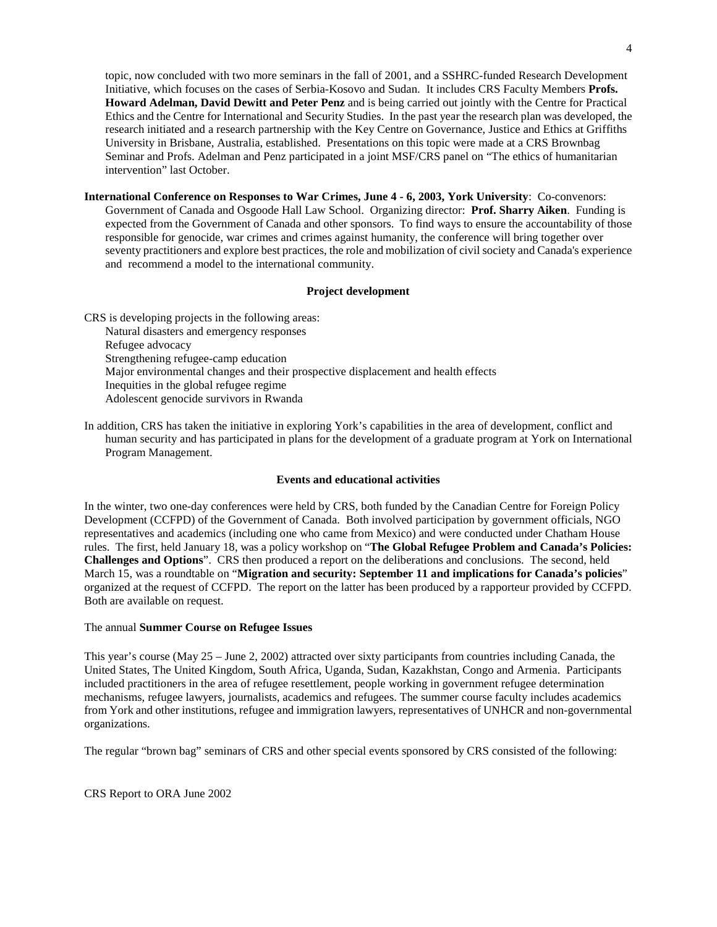topic, now concluded with two more seminars in the fall of 2001, and a SSHRC-funded Research Development Initiative, which focuses on the cases of Serbia-Kosovo and Sudan. It includes CRS Faculty Members **Profs. Howard Adelman, David Dewitt and Peter Penz** and is being carried out jointly with the Centre for Practical Ethics and the Centre for International and Security Studies. In the past year the research plan was developed, the research initiated and a research partnership with the Key Centre on Governance, Justice and Ethics at Griffiths University in Brisbane, Australia, established. Presentations on this topic were made at a CRS Brownbag Seminar and Profs. Adelman and Penz participated in a joint MSF/CRS panel on "The ethics of humanitarian intervention" last October.

**International Conference on Responses to War Crimes, June 4 - 6, 2003, York University**: Co-convenors: Government of Canada and Osgoode Hall Law School. Organizing director: **Prof. Sharry Aiken**. Funding is expected from the Government of Canada and other sponsors. To find ways to ensure the accountability of those responsible for genocide, war crimes and crimes against humanity, the conference will bring together over seventy practitioners and explore best practices, the role and mobilization of civil society and Canada's experience and recommend a model to the international community.

#### **Project development**

 CRS is developing projects in the following areas: Natural disasters and emergency responses Refugee advocacy Strengthening refugee-camp education Major environmental changes and their prospective displacement and health effects Inequities in the global refugee regime Adolescent genocide survivors in Rwanda

In addition, CRS has taken the initiative in exploring York's capabilities in the area of development, conflict and human security and has participated in plans for the development of a graduate program at York on International Program Management.

## **Events and educational activities**

In the winter, two one-day conferences were held by CRS, both funded by the Canadian Centre for Foreign Policy Development (CCFPD) of the Government of Canada. Both involved participation by government officials, NGO representatives and academics (including one who came from Mexico) and were conducted under Chatham House rules. The first, held January 18, was a policy workshop on "**The Global Refugee Problem and Canada's Policies: Challenges and Options**". CRS then produced a report on the deliberations and conclusions. The second, held March 15, was a roundtable on "**Migration and security: September 11 and implications for Canada's policies**" organized at the request of CCFPD. The report on the latter has been produced by a rapporteur provided by CCFPD. Both are available on request.

## The annual **Summer Course on Refugee Issues**

This year's course (May 25 – June 2, 2002) attracted over sixty participants from countries including Canada, the United States, The United Kingdom, South Africa, Uganda, Sudan, Kazakhstan, Congo and Armenia. Participants included practitioners in the area of refugee resettlement, people working in government refugee determination mechanisms, refugee lawyers, journalists, academics and refugees. The summer course faculty includes academics from York and other institutions, refugee and immigration lawyers, representatives of UNHCR and non-governmental organizations.

The regular "brown bag" seminars of CRS and other special events sponsored by CRS consisted of the following: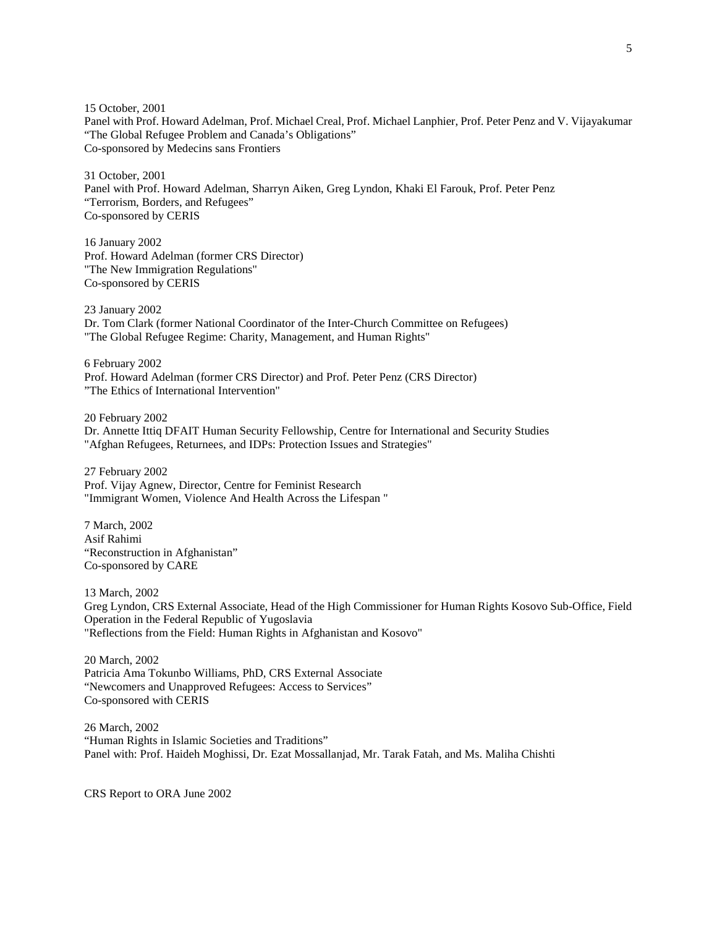15 October, 2001 Panel with Prof. Howard Adelman, Prof. Michael Creal, Prof. Michael Lanphier, Prof. Peter Penz and V. Vijayakumar "The Global Refugee Problem and Canada's Obligations" Co-sponsored by Medecins sans Frontiers

31 October, 2001 Panel with Prof. Howard Adelman, Sharryn Aiken, Greg Lyndon, Khaki El Farouk, Prof. Peter Penz "Terrorism, Borders, and Refugees" Co-sponsored by CERIS

16 January 2002 Prof. Howard Adelman (former CRS Director) "The New Immigration Regulations" Co-sponsored by CERIS

23 January 2002 Dr. Tom Clark (former National Coordinator of the Inter-Church Committee on Refugees) "The Global Refugee Regime: Charity, Management, and Human Rights"

6 February 2002 Prof. Howard Adelman (former CRS Director) and Prof. Peter Penz (CRS Director) "The Ethics of International Intervention"

20 February 2002 Dr. Annette Ittiq DFAIT Human Security Fellowship, Centre for International and Security Studies "Afghan Refugees, Returnees, and IDPs: Protection Issues and Strategies"

27 February 2002 Prof. Vijay Agnew, Director, Centre for Feminist Research "Immigrant Women, Violence And Health Across the Lifespan "

7 March, 2002 Asif Rahimi "Reconstruction in Afghanistan" Co-sponsored by CARE

13 March, 2002 Greg Lyndon, CRS External Associate, Head of the High Commissioner for Human Rights Kosovo Sub-Office, Field Operation in the Federal Republic of Yugoslavia "Reflections from the Field: Human Rights in Afghanistan and Kosovo"

20 March, 2002 Patricia Ama Tokunbo Williams, PhD, CRS External Associate "Newcomers and Unapproved Refugees: Access to Services" Co-sponsored with CERIS

26 March, 2002 "Human Rights in Islamic Societies and Traditions" Panel with: Prof. Haideh Moghissi, Dr. Ezat Mossallanjad, Mr. Tarak Fatah, and Ms. Maliha Chishti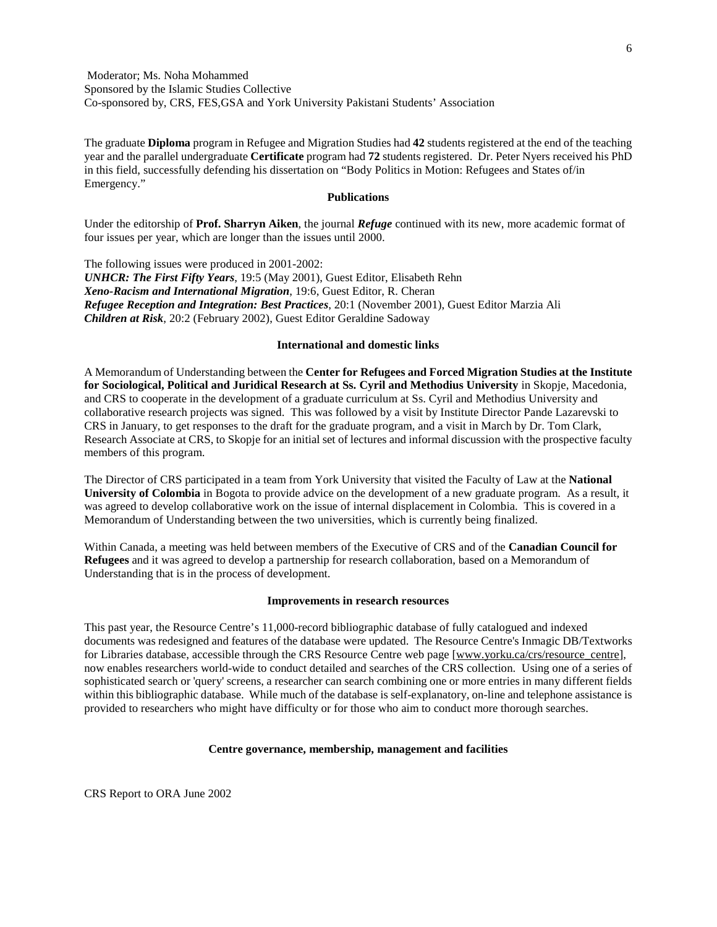Moderator; Ms. Noha Mohammed Sponsored by the Islamic Studies Collective Co-sponsored by, CRS, FES,GSA and York University Pakistani Students' Association

The graduate **Diploma** program in Refugee and Migration Studies had **42** students registered at the end of the teaching year and the parallel undergraduate **Certificate** program had **72** students registered. Dr. Peter Nyers received his PhD in this field, successfully defending his dissertation on "Body Politics in Motion: Refugees and States of/in Emergency."

## **Publications**

Under the editorship of **Prof. Sharryn Aiken**, the journal *Refuge* continued with its new, more academic format of four issues per year, which are longer than the issues until 2000.

The following issues were produced in 2001-2002: *UNHCR: The First Fifty Years*, 19:5 (May 2001), Guest Editor, Elisabeth Rehn *Xeno-Racism and International Migration*, 19:6, Guest Editor, R. Cheran *Refugee Reception and Integration: Best Practices*, 20:1 (November 2001), Guest Editor Marzia Ali *Children at Risk*, 20:2 (February 2002), Guest Editor Geraldine Sadoway

#### **International and domestic links**

A Memorandum of Understanding between the **Center for Refugees and Forced Migration Studies at the Institute for Sociological, Political and Juridical Research at Ss. Cyril and Methodius University** in Skopje, Macedonia, and CRS to cooperate in the development of a graduate curriculum at Ss. Cyril and Methodius University and collaborative research projects was signed. This was followed by a visit by Institute Director Pande Lazarevski to CRS in January, to get responses to the draft for the graduate program, and a visit in March by Dr. Tom Clark, Research Associate at CRS, to Skopje for an initial set of lectures and informal discussion with the prospective faculty members of this program.

The Director of CRS participated in a team from York University that visited the Faculty of Law at the **National University of Colombia** in Bogota to provide advice on the development of a new graduate program. As a result, it was agreed to develop collaborative work on the issue of internal displacement in Colombia. This is covered in a Memorandum of Understanding between the two universities, which is currently being finalized.

Within Canada, a meeting was held between members of the Executive of CRS and of the **Canadian Council for Refugees** and it was agreed to develop a partnership for research collaboration, based on a Memorandum of Understanding that is in the process of development.

#### **Improvements in research resources**

This past year, the Resource Centre's 11,000-record bibliographic database of fully catalogued and indexed documents was redesigned and features of the database were updated. The Resource Centre's Inmagic DB/Textworks for Libraries database, accessible through the CRS Resource Centre web page [www.yorku.ca/crs/resource\_centre], now enables researchers world-wide to conduct detailed and searches of the CRS collection. Using one of a series of sophisticated search or 'query' screens, a researcher can search combining one or more entries in many different fields within this bibliographic database. While much of the database is self-explanatory, on-line and telephone assistance is provided to researchers who might have difficulty or for those who aim to conduct more thorough searches.

## **Centre governance, membership, management and facilities**